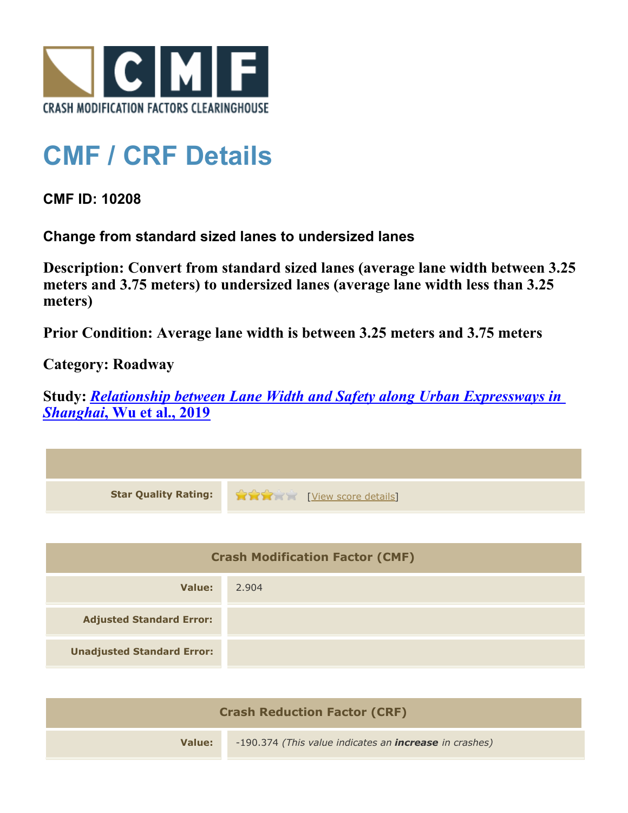

## **CMF / CRF Details**

**CMF ID: 10208**

**Change from standard sized lanes to undersized lanes**

**Description: Convert from standard sized lanes (average lane width between 3.25 meters and 3.75 meters) to undersized lanes (average lane width less than 3.25 meters)**

**Prior Condition: Average lane width is between 3.25 meters and 3.75 meters**

**Category: Roadway**

**Study:** *[Relationship between Lane Width and Safety along Urban Expressways in](http://www.cmfclearinghouse.org/study_detail.cfm?stid=586) [Shanghai](http://www.cmfclearinghouse.org/study_detail.cfm?stid=586)***[, Wu et al., 2019](http://www.cmfclearinghouse.org/study_detail.cfm?stid=586)**

| <b>Star Quality Rating:</b>            | View score details |
|----------------------------------------|--------------------|
|                                        |                    |
| <b>Crash Modification Factor (CMF)</b> |                    |
| Value:                                 | 2.904              |
| <b>Adjusted Standard Error:</b>        |                    |
| <b>Unadjusted Standard Error:</b>      |                    |

| <b>Crash Reduction Factor (CRF)</b> |                                                               |
|-------------------------------------|---------------------------------------------------------------|
| Value:                              | -190.374 (This value indicates an <b>increase</b> in crashes) |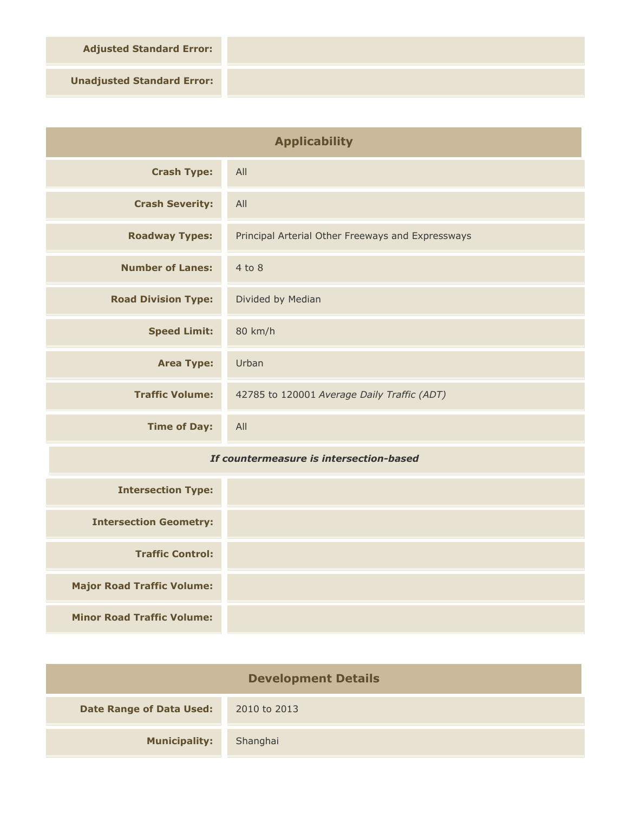**Adjusted Standard Error:**

**Unadjusted Standard Error:**

| <b>Applicability</b>                    |                                                   |
|-----------------------------------------|---------------------------------------------------|
| <b>Crash Type:</b>                      | All                                               |
| <b>Crash Severity:</b>                  | All                                               |
| <b>Roadway Types:</b>                   | Principal Arterial Other Freeways and Expressways |
| <b>Number of Lanes:</b>                 | $4$ to $8$                                        |
| <b>Road Division Type:</b>              | Divided by Median                                 |
| <b>Speed Limit:</b>                     | 80 km/h                                           |
| <b>Area Type:</b>                       | Urban                                             |
| <b>Traffic Volume:</b>                  | 42785 to 120001 Average Daily Traffic (ADT)       |
| <b>Time of Day:</b>                     | All                                               |
| If countermeasure is intersection-based |                                                   |
| <b>Intersection Type:</b>               |                                                   |
| <b>Intersection Geometry:</b>           |                                                   |
| <b>Traffic Control:</b>                 |                                                   |

**Minor Road Traffic Volume:**

**Major Road Traffic Volume:**

| <b>Development Details</b>      |              |  |
|---------------------------------|--------------|--|
| <b>Date Range of Data Used:</b> | 2010 to 2013 |  |
| <b>Municipality:</b>            | Shanghai     |  |